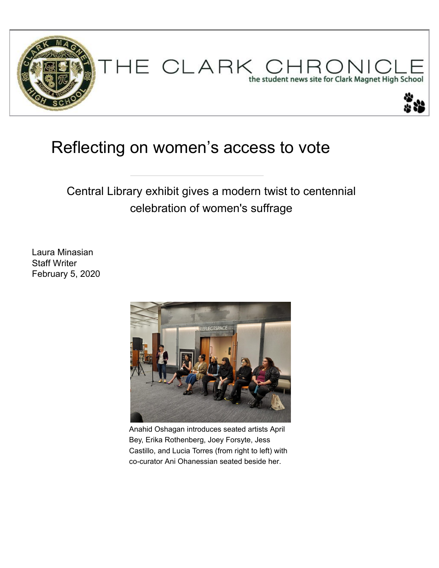

## [Reflecting on women's access](https://clarkchronicle.com/) to vote

Central Library exhibit gives a modern twist to centennial celebration of women's suffrage

[Laura Minasian](https://clarkchronicle.com/category/ae/) Staff Writer [February 5, 2020](https://clarkchronicle.com/category/opinion/)



Anahid Oshagan introduces seated artists Apri[l](https://clarkchronicle.com/ae/movies/2018/10/30/the-hate-u-give-provides-a-message-for-the-ages/) Bey, Erika Rothenberg, Joey Forsyte, Jess Castillo, and Lucia Torres (from right to left) with co-curator Ani Ohanessian seated beside her.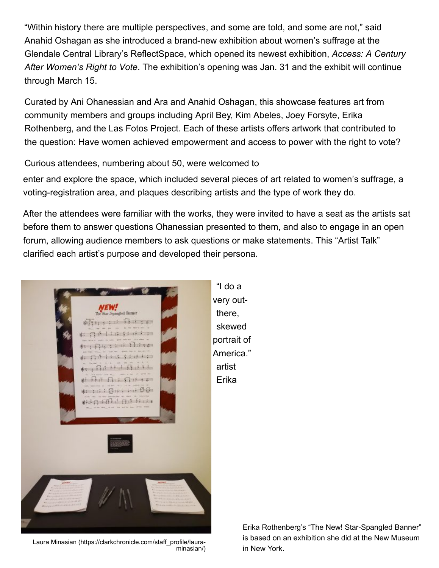"Within history there are multiple perspectives, and some are told, and some are not," said Anahid Oshagan as she introduced a brand-new exhibition about women's suffrage at the Glendale Central [Library's ReflectSpace, which](https://clarkchronicle.com/staff_profile/laura-minasian/) opened its newest exhibition, *Access: A Century After Women's Right to Vote*. The exhibition's opening was Jan. 31 and the exhibit will continue through March 15.

[Curated by Ani Ohanessian and Ara and Anahid Osh](https://clarkchronicle.com/staff_profile/laura-minasian/)agan, this showcase features art from community members and groups including April Bey, Kim Abeles, Joey Forsyte, Erika Rothenberg, and the Las Fotos Project. Each of these artists offers artwork that contributed to the question: Have women achieved empowerment and access to power with the right to vote?

Curious attendees, numbering about 50, were welcomed to

enter and explore the space, which included several pieces of art related to women's suffrage, a voting-registration area, and plaques describing artists and the type of work they do.

[After the attendees were familiar with the works, they wer](#page--1-0)e [invited to have a seat as the artists sat](https://clarkchronicle.com/category/hoc-front/?list?list)  before them to answer questions Ohanessian presented to them, and also to engage in an open forum, allowing audience members to ask questions or ma[ke statements. This "Artist Talk"](https://clarkchronicle.com/humans-of-clark/2019/12/07/jason-salazar/) [clarified each artist's purpose and developed their persona](https://www.facebook.com/sharer/sharer.php?u=https%3A%2F%2Fclarkchronicle.com%2Fnews%2F2020%2F02%2F05%2Freflecting-on-womens-access-to-the-vote%2F).



Laura Minasian (https://clarkchronicle.com/staff\_profile/lauraminasian/)

"I do a very out[there,](https://clarkchronicle.com/news/2020/02/05/reflecting-on-womens-access-to-the-vote//?print=true) skewed portrait of America." artist Erika

> Erika Rothenberg's "The New! Star-Spangled Banner" is based on an exhibition she did at the New Museum in N[ew York.](https://clarkchronicle.com/multimedia/video/2018/05/01/march-for-our-lives-2018/)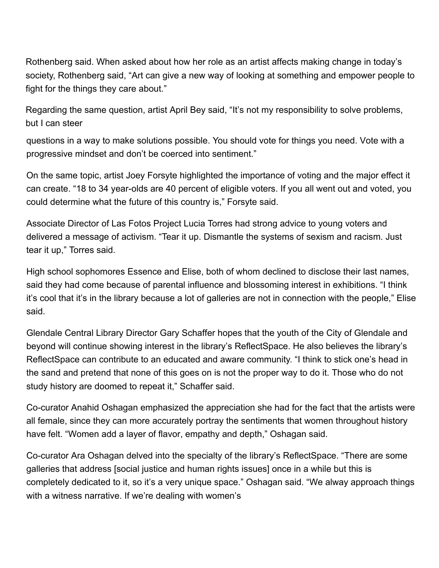Rothenberg said. When asked about how her role as an ar[tist affects making change in today's](https://clarkchronicle.com/multimedia/video/2018/05/01/cinematography-trip-to-fort-tejon-2018/)  society, Rothenberg said, "Art can give a new way of looking at something and empower people to fight for the things they care about."

Regarding the same question, artist April Bey said, "It's not [my responsibility to solve problems,](https://clarkchronicle.com/multimedia/video/2017/11/01/clarktoberfest-2017/)  but I can steer

questions in a way to make solutions possible. You should [vote for things you need. Vote with a](https://clarkchronicle.com/multimedia/video/2017/04/25/car-show-video-2017/)  progressive mindset and don't be coerced into sentiment."

On the same topic, artist Joey Forsyte highlighted the imp[ortance of voting and the major effect it](https://clarkchronicle.com/category/multimedia/video/)  can create. "18 to 34 year-olds are 40 percent of eligible voters. If you all went out and voted, you could determine what the future of this country is," Forsyte said.

Associate Director of Las Fotos Project Lucia Torres had strong advice to young voters and delivered a message of activism. "Tear it up. Dismantle the s[ystems of sexism and](https://twitter.com/Clark_Pubs) racism. Just tear it up," Torres said.

High school sophomores Essence and Elise, both of whom declined to disclose their last names, said they had come because of parental influence and blossoming interest in exhibitions. "I think it's cool that it's in the library because a lot of galleries are not in connection with the people," Elise said.

Glendale Central Library Director Gary Schaffer hopes that th[e youth of the City of](https://twitter.com/Clark_Pubs) Glendale and beyond will continue showing interest in the library's ReflectS[pace](https://twitter.com/intent/like?tweet_id=1253795246703554563). He also believes the library's ReflectSpace can contribute to an educated and aware community. "I think to stick one's head in the sand and pretend that none of this goes on is not the proper way to do it. Those who do not study history are doomed to repeat it," Schaffer said.

Co-curator Anahid Oshagan emphasized the appreciation she had for the fact that the artists were all female, since they can more accurately portray the sentim[ents](https://twitter.com/Clark_Pubs) that [women thro](https://twitter.com/Clark_Pubs)ughout history have felt. "Women add a layer of flavor, empathy and depth," Oshagan said.

[Co-curator Ara Oshagan delved into the spec](https://clarkchronicle.com/staff_profile/laura-minasian/)ialty of the library's ReflectSpace. "There are some galleries that address [social justice and human rights issues[\] on](https://twitter.com/intent/like?tweet_id=1249934362973528071)ce in a while but this is completely dedicated to it, so it's a very unique space." Oshagan said. "We alway approach things with a witness narrative. If we're dealing with women's